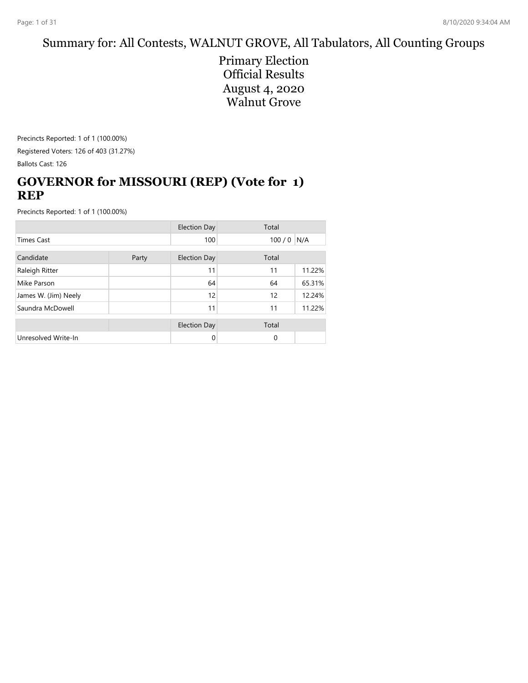#### Summary for: All Contests, WALNUT GROVE, All Tabulators, All Counting Groups

Primary Election Official Results August 4, 2020 Walnut Grove

Precincts Reported: 1 of 1 (100.00%) Registered Voters: 126 of 403 (31.27%) Ballots Cast: 126

## **GOVERNOR for MISSOURI (REP) (Vote for 1) REP**

|                      |       | <b>Election Day</b> | Total |        |
|----------------------|-------|---------------------|-------|--------|
| <b>Times Cast</b>    |       | 100                 | 100/0 | N/A    |
| Candidate            | Party | <b>Election Day</b> | Total |        |
| Raleigh Ritter       |       | 11                  | 11    | 11.22% |
| Mike Parson          |       | 64                  | 64    | 65.31% |
| James W. (Jim) Neely |       | 12                  | 12    | 12.24% |
| Saundra McDowell     |       | 11                  | 11    | 11.22% |
|                      |       | <b>Election Day</b> | Total |        |
| Unresolved Write-In  |       | 0                   | 0     |        |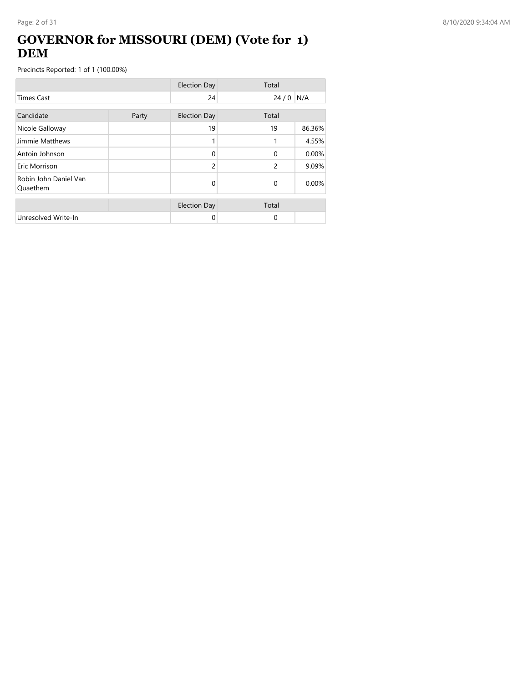## **GOVERNOR for MISSOURI (DEM) (Vote for 1) DEM**

|                                   |       | <b>Election Day</b> | Total         |        |
|-----------------------------------|-------|---------------------|---------------|--------|
| <b>Times Cast</b>                 |       | 24                  | 24/0          | N/A    |
| Candidate                         | Party | <b>Election Day</b> | Total         |        |
| Nicole Galloway                   |       | 19                  | 19            | 86.36% |
| Jimmie Matthews                   |       |                     | 1             | 4.55%  |
| Antoin Johnson                    |       | $\Omega$            | $\Omega$      | 0.00%  |
| Eric Morrison                     |       | $\mathcal{P}$       | $\mathcal{P}$ | 9.09%  |
| Robin John Daniel Van<br>Quaethem |       | 0                   | $\Omega$      | 0.00%  |
|                                   |       | <b>Election Day</b> | Total         |        |
| Unresolved Write-In               |       | 0                   | $\Omega$      |        |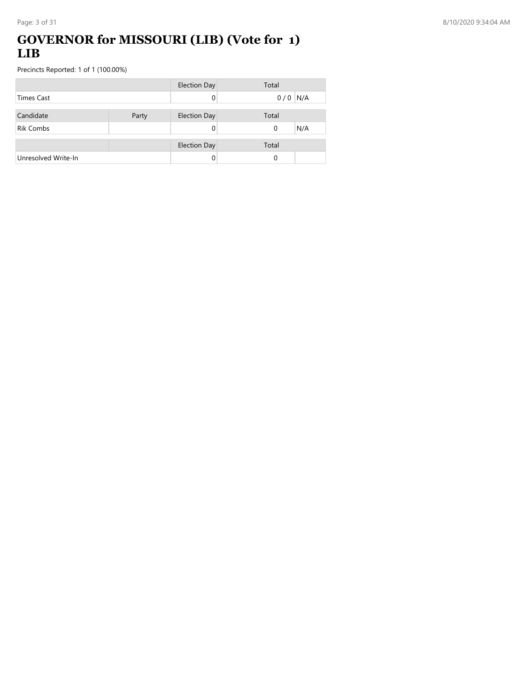#### **GOVERNOR for MISSOURI (LIB) (Vote for 1) LIB**

|                     |       | <b>Election Day</b> | Total     |     |
|---------------------|-------|---------------------|-----------|-----|
| <b>Times Cast</b>   |       | 0                   | $0/0$ N/A |     |
| Candidate           |       |                     | Total     |     |
|                     | Party | <b>Election Day</b> |           |     |
| <b>Rik Combs</b>    |       |                     | $\Omega$  | N/A |
|                     |       | <b>Election Day</b> | Total     |     |
| Unresolved Write-In |       |                     | 0         |     |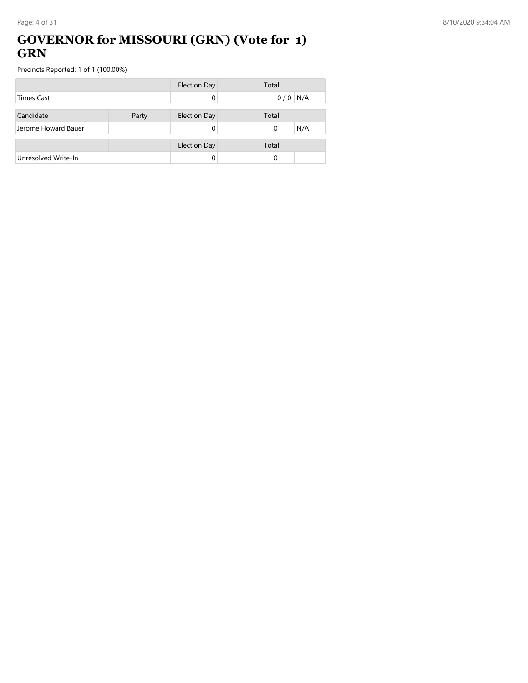### **GOVERNOR for MISSOURI (GRN) (Vote for 1) GRN**

|                     |       | <b>Election Day</b> | Total           |
|---------------------|-------|---------------------|-----------------|
| <b>Times Cast</b>   |       |                     | N/A<br>0/0      |
|                     |       |                     |                 |
| Candidate           | Party | <b>Election Day</b> | Total           |
| Jerome Howard Bauer |       |                     | N/A<br>$\Omega$ |
|                     |       |                     |                 |
|                     |       | <b>Election Day</b> | Total           |
| Unresolved Write-In |       |                     | 0               |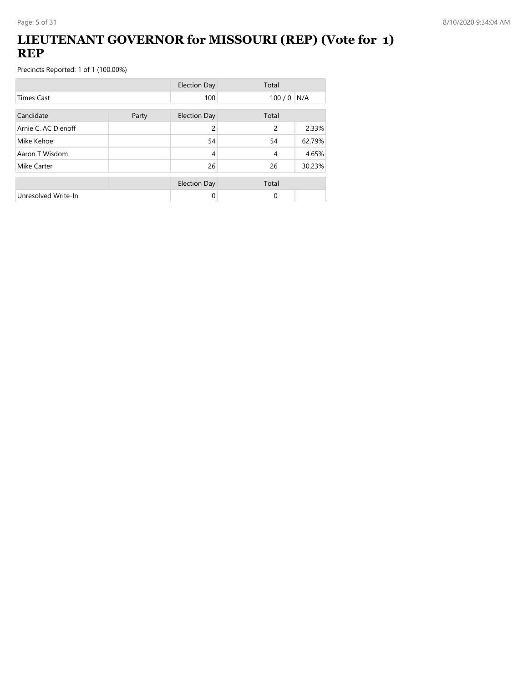## **LIEUTENANT GOVERNOR for MISSOURI (REP) (Vote for 1) REP**

|                     |       | <b>Election Day</b> | Total       |        |
|---------------------|-------|---------------------|-------------|--------|
| <b>Times Cast</b>   |       | 100                 | $100/0$ N/A |        |
| Candidate           | Party | <b>Election Day</b> | Total       |        |
| Arnie C. AC Dienoff |       | 2                   | 2           | 2.33%  |
| Mike Kehoe          |       | 54                  | 54          | 62.79% |
| Aaron T Wisdom      |       | 4                   | 4           | 4.65%  |
| Mike Carter         |       | 26                  | 26          | 30.23% |
|                     |       | <b>Election Day</b> | Total       |        |
| Unresolved Write-In |       | 0                   | $\Omega$    |        |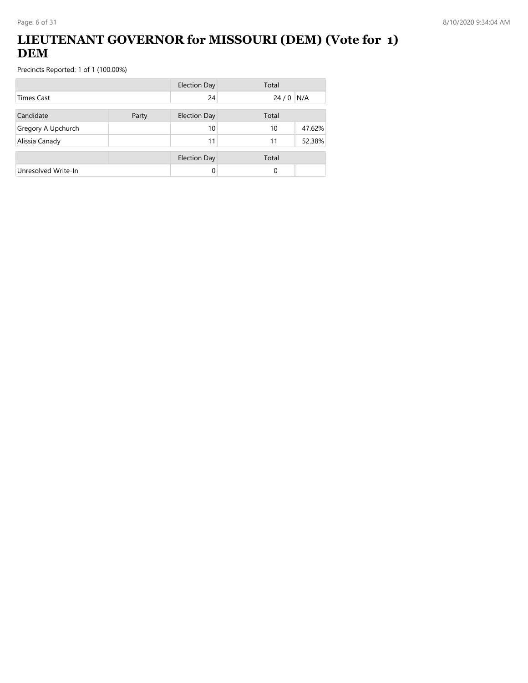## **LIEUTENANT GOVERNOR for MISSOURI (DEM) (Vote for 1) DEM**

|                     |       | <b>Election Day</b> | Total |        |
|---------------------|-------|---------------------|-------|--------|
| Times Cast          |       | 24                  | 24/0  | N/A    |
| Candidate           | Party | <b>Election Day</b> | Total |        |
| Gregory A Upchurch  |       | 10                  | 10    | 47.62% |
| Alissia Canady      |       | 11                  | 11    | 52.38% |
|                     |       | <b>Election Day</b> | Total |        |
| Unresolved Write-In |       | 0                   | 0     |        |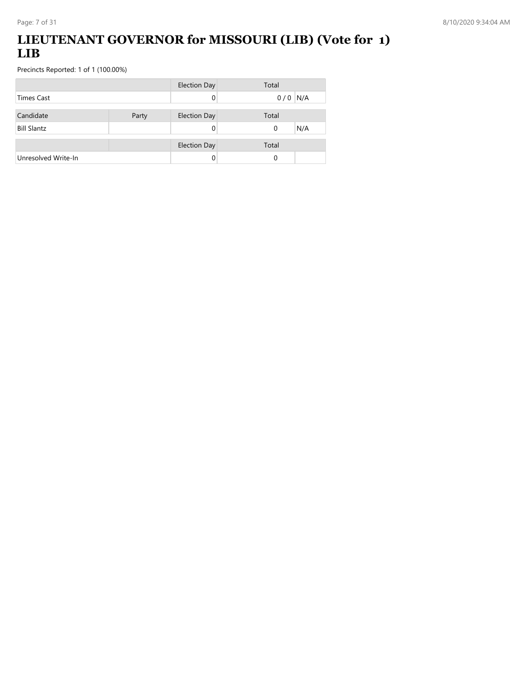## **LIEUTENANT GOVERNOR for MISSOURI (LIB) (Vote for 1) LIB**

|                     |       | <b>Election Day</b> | Total     |
|---------------------|-------|---------------------|-----------|
| <b>Times Cast</b>   |       |                     | $0/0$ N/A |
|                     |       |                     |           |
| Candidate           | Party | <b>Election Day</b> | Total     |
| <b>Bill Slantz</b>  |       |                     | N/A<br>0  |
|                     |       |                     |           |
|                     |       | <b>Election Day</b> | Total     |
| Unresolved Write-In |       |                     | 0         |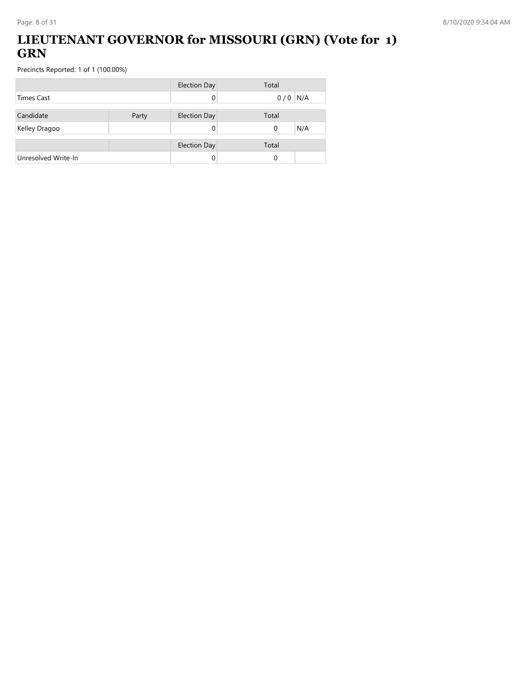## **LIEUTENANT GOVERNOR for MISSOURI (GRN) (Vote for 1) GRN**

|                     |       | <b>Election Day</b> | Total     |
|---------------------|-------|---------------------|-----------|
| <b>Times Cast</b>   |       |                     | $0/0$ N/A |
| Candidate           | Party | <b>Election Day</b> | Total     |
| Kelley Dragoo       |       |                     | N/A<br>0  |
|                     |       | <b>Election Day</b> | Total     |
| Unresolved Write-In |       |                     | 0         |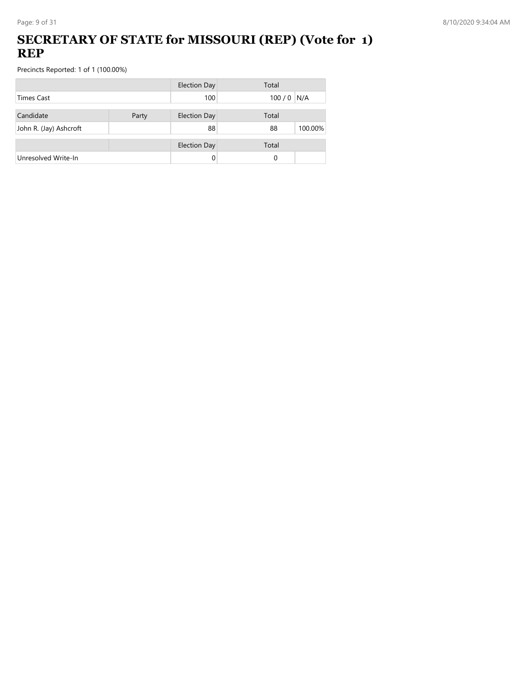## **SECRETARY OF STATE for MISSOURI (REP) (Vote for 1) REP**

|                        |       | <b>Election Day</b> | Total         |
|------------------------|-------|---------------------|---------------|
| <b>Times Cast</b>      |       | 100                 | $100/0$ N/A   |
| Candidate              | Party | <b>Election Day</b> | Total         |
| John R. (Jay) Ashcroft |       | 88                  | 100.00%<br>88 |
|                        |       | <b>Election Day</b> | Total         |
| Unresolved Write-In    |       | 0                   | 0             |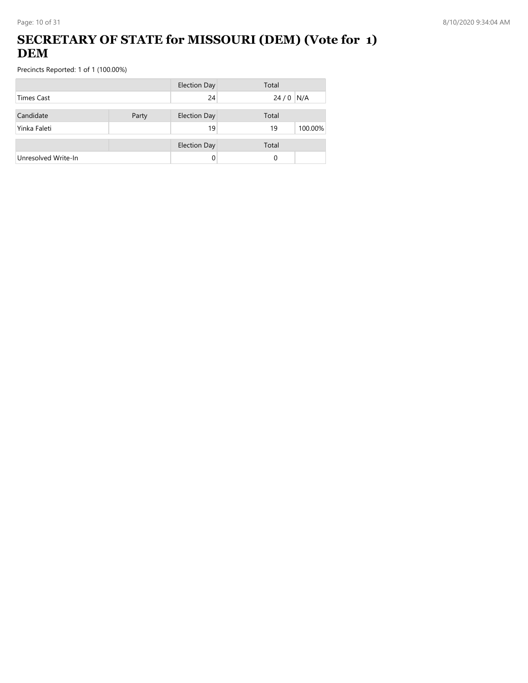## **SECRETARY OF STATE for MISSOURI (DEM) (Vote for 1) DEM**

|                     |       | <b>Election Day</b> | Total         |
|---------------------|-------|---------------------|---------------|
| Times Cast          |       | 24                  | $24/0$ N/A    |
| Candidate           | Party | <b>Election Day</b> | Total         |
| Yinka Faleti        |       | 19                  | 100.00%<br>19 |
|                     |       | <b>Election Day</b> | Total         |
| Unresolved Write-In |       |                     | 0             |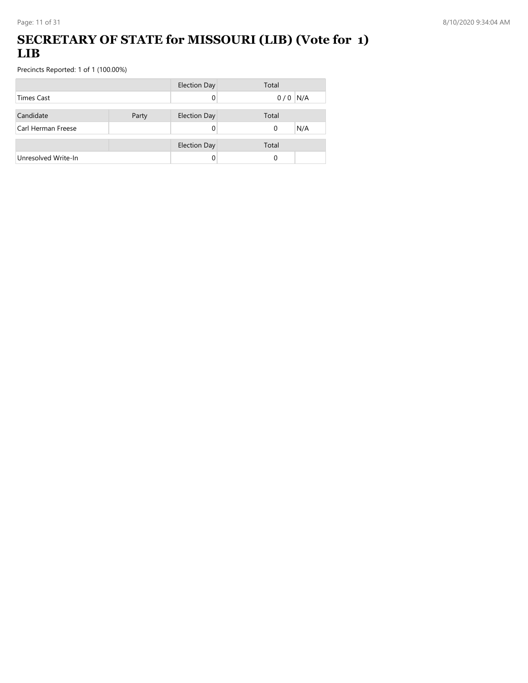### **SECRETARY OF STATE for MISSOURI (LIB) (Vote for 1) LIB**

|                     |       | <b>Election Day</b> | Total           |
|---------------------|-------|---------------------|-----------------|
| <b>Times Cast</b>   |       |                     | $0/0$ N/A       |
| Candidate           |       |                     | Total           |
|                     | Party | <b>Election Day</b> |                 |
| Carl Herman Freese  |       |                     | N/A<br>$\Omega$ |
|                     |       | <b>Election Day</b> | Total           |
| Unresolved Write-In |       |                     | $\Omega$        |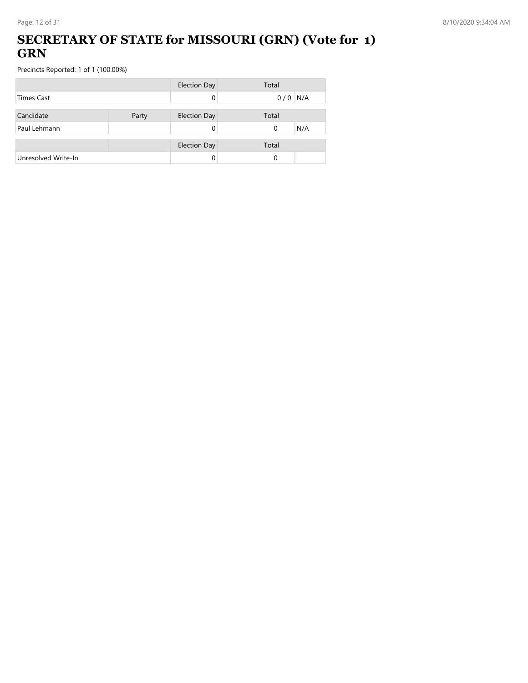### **SECRETARY OF STATE for MISSOURI (GRN) (Vote for 1) GRN**

|                     |       | <b>Election Day</b> | Total           |
|---------------------|-------|---------------------|-----------------|
| <b>Times Cast</b>   |       |                     | $0/0$ N/A       |
| Candidate           | Party | <b>Election Day</b> | Total           |
| Paul Lehmann        |       |                     | N/A<br>$\Omega$ |
|                     |       | <b>Election Day</b> | Total           |
| Unresolved Write-In |       |                     | 0               |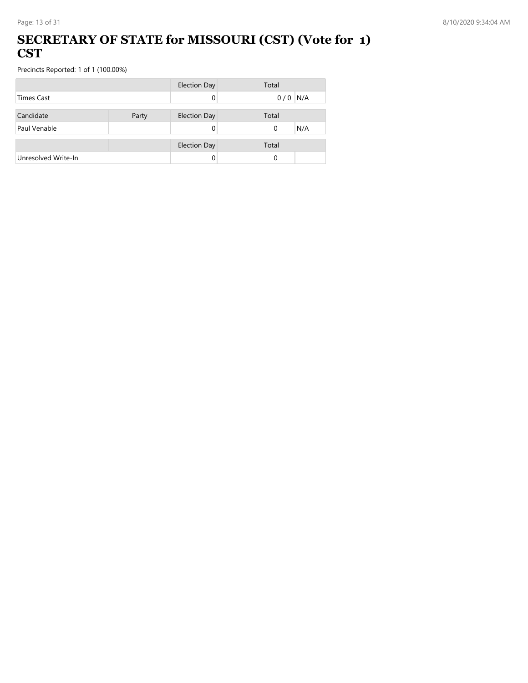#### **SECRETARY OF STATE for MISSOURI (CST) (Vote for 1) CST**

|                     |       | <b>Election Day</b> | Total     |
|---------------------|-------|---------------------|-----------|
| <b>Times Cast</b>   |       |                     | $0/0$ N/A |
|                     |       |                     |           |
| Candidate           | Party | <b>Election Day</b> | Total     |
| Paul Venable        |       |                     | N/A<br>0  |
|                     |       |                     |           |
|                     |       | <b>Election Day</b> | Total     |
| Unresolved Write-In |       |                     | $\Omega$  |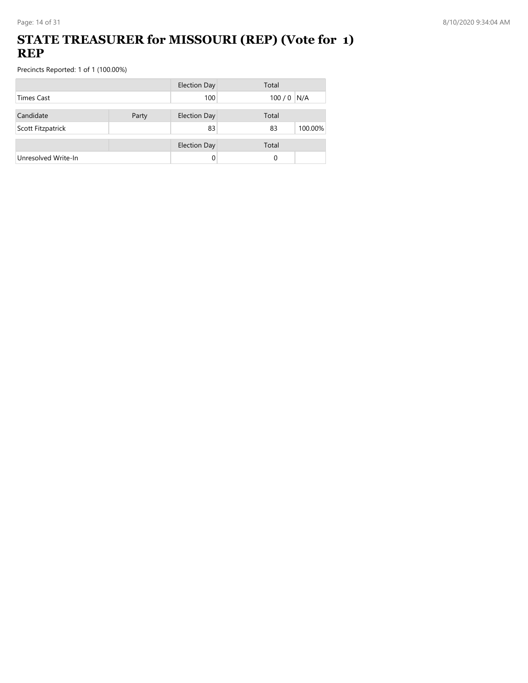### **STATE TREASURER for MISSOURI (REP) (Vote for 1) REP**

|                     |       | <b>Election Day</b> | Total         |
|---------------------|-------|---------------------|---------------|
| <b>Times Cast</b>   |       | 100                 | $100/0$ N/A   |
| Candidate           | Party | <b>Election Day</b> | Total         |
| Scott Fitzpatrick   |       | 83                  | 100.00%<br>83 |
|                     |       | <b>Election Day</b> | Total         |
| Unresolved Write-In |       | 0                   | 0             |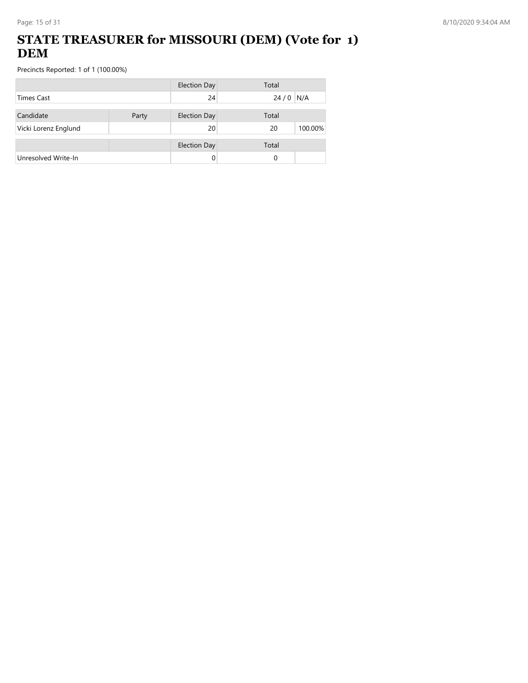## **STATE TREASURER for MISSOURI (DEM) (Vote for 1) DEM**

|                      |       | <b>Election Day</b> | Total         |
|----------------------|-------|---------------------|---------------|
| <b>Times Cast</b>    |       | 24                  | N/A<br>24/0   |
| Candidate            | Party | <b>Election Day</b> | Total         |
| Vicki Lorenz Englund |       | 20                  | 100.00%<br>20 |
|                      |       | <b>Election Day</b> | Total         |
| Unresolved Write-In  |       |                     | 0             |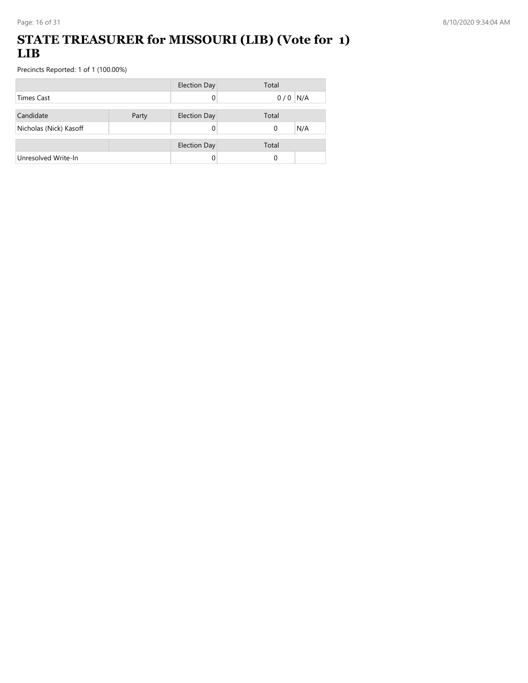### **STATE TREASURER for MISSOURI (LIB) (Vote for 1) LIB**

|                        |       | <b>Election Day</b> | Total           |
|------------------------|-------|---------------------|-----------------|
| <b>Times Cast</b>      |       | 0                   | $0/0$ N/A       |
|                        |       |                     |                 |
| Candidate              | Party | <b>Election Day</b> | Total           |
| Nicholas (Nick) Kasoff |       |                     | N/A<br>$\Omega$ |
|                        |       |                     |                 |
|                        |       | <b>Election Day</b> | Total           |
| Unresolved Write-In    |       |                     | 0               |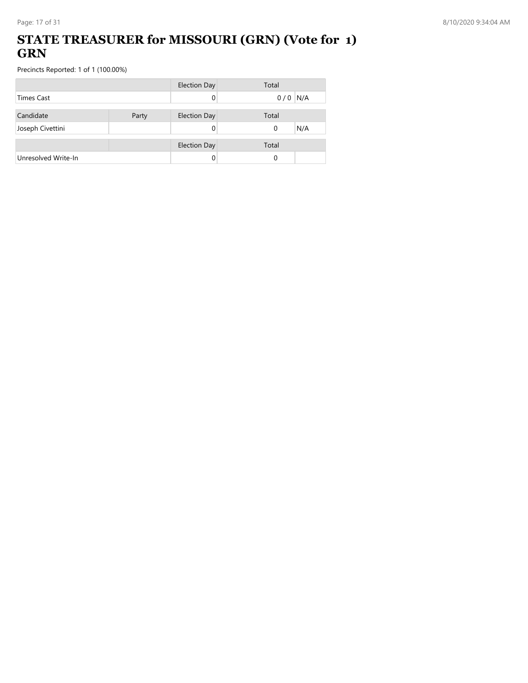### **STATE TREASURER for MISSOURI (GRN) (Vote for 1) GRN**

|                     |       | <b>Election Day</b> | Total           |
|---------------------|-------|---------------------|-----------------|
| <b>Times Cast</b>   |       |                     | $0/0$ N/A       |
| Candidate           | Party | <b>Election Day</b> | Total           |
| Joseph Civettini    |       |                     | N/A<br>$\Omega$ |
|                     |       |                     |                 |
|                     |       | <b>Election Day</b> | Total           |
| Unresolved Write-In |       |                     | 0               |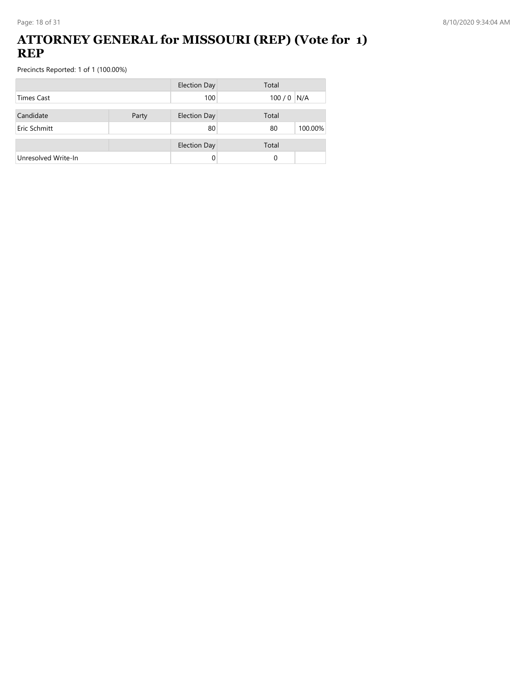#### **ATTORNEY GENERAL for MISSOURI (REP) (Vote for 1) REP**

|                     |       | <b>Election Day</b> | Total         |
|---------------------|-------|---------------------|---------------|
| <b>Times Cast</b>   |       | 100                 | $100/0$ N/A   |
| Candidate           | Party | <b>Election Day</b> | Total         |
| Eric Schmitt        |       | 80                  | 100.00%<br>80 |
|                     |       | <b>Election Day</b> | Total         |
| Unresolved Write-In |       | 0                   | 0             |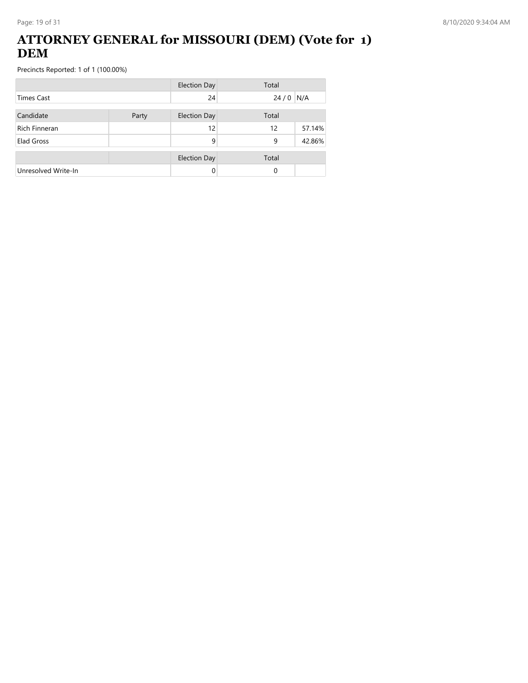### **ATTORNEY GENERAL for MISSOURI (DEM) (Vote for 1) DEM**

|                      |       | <b>Election Day</b> | Total |        |
|----------------------|-------|---------------------|-------|--------|
| <b>Times Cast</b>    |       | 24                  | 24/0  | N/A    |
| Candidate            | Party | <b>Election Day</b> | Total |        |
| <b>Rich Finneran</b> |       | 12                  | 12    | 57.14% |
| Elad Gross           |       | 9                   | 9     | 42.86% |
|                      |       | <b>Election Day</b> | Total |        |
| Unresolved Write-In  |       | 0                   | 0     |        |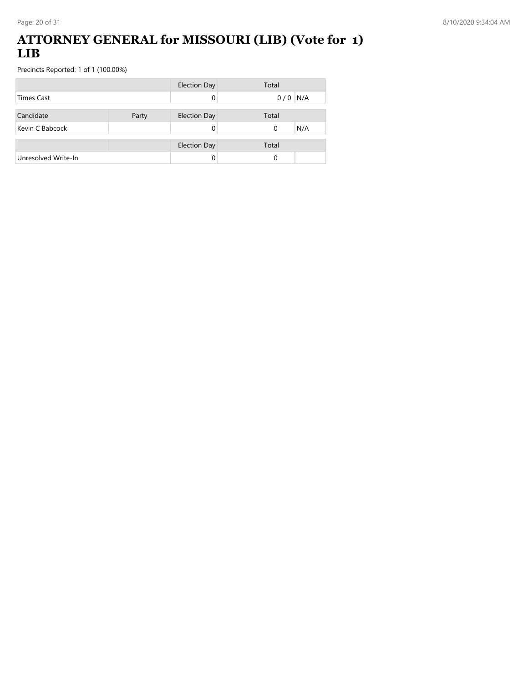### **ATTORNEY GENERAL for MISSOURI (LIB) (Vote for 1) LIB**

|                     |       | <b>Election Day</b> | Total           |
|---------------------|-------|---------------------|-----------------|
| <b>Times Cast</b>   |       |                     | $0/0$ N/A       |
| Candidate           | Party | <b>Election Day</b> | Total           |
|                     |       |                     |                 |
| Kevin C Babcock     |       |                     | N/A<br>$\Omega$ |
|                     |       | <b>Election Day</b> | Total           |
| Unresolved Write-In |       |                     | 0               |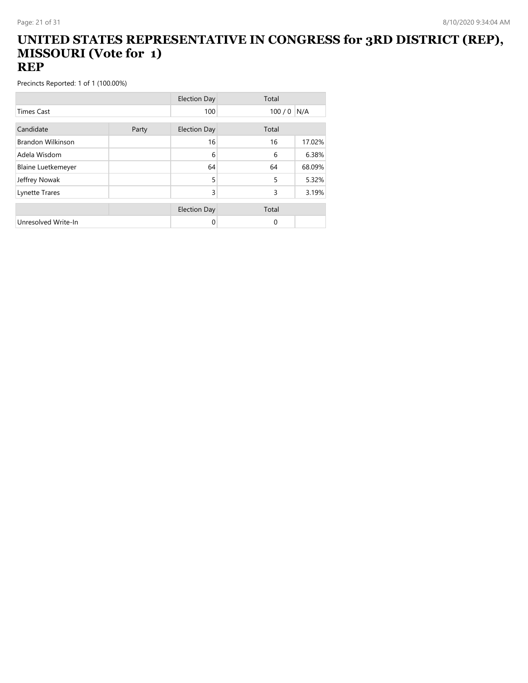#### **UNITED STATES REPRESENTATIVE IN CONGRESS for 3RD DISTRICT (REP), MISSOURI (Vote for 1) REP**

|                           |       | <b>Election Day</b> | Total    |        |
|---------------------------|-------|---------------------|----------|--------|
| <b>Times Cast</b>         |       | 100                 | 100/0    | N/A    |
|                           |       |                     |          |        |
| Candidate                 | Party | <b>Election Day</b> | Total    |        |
| <b>Brandon Wilkinson</b>  |       | 16                  | 16       | 17.02% |
| Adela Wisdom              |       | 6                   | 6        | 6.38%  |
| <b>Blaine Luetkemeyer</b> |       | 64                  | 64       | 68.09% |
| Jeffrey Nowak             |       | 5                   | 5        | 5.32%  |
| Lynette Trares            |       | 3                   | 3        | 3.19%  |
|                           |       |                     |          |        |
|                           |       | <b>Election Day</b> | Total    |        |
| Unresolved Write-In       |       | 0                   | $\Omega$ |        |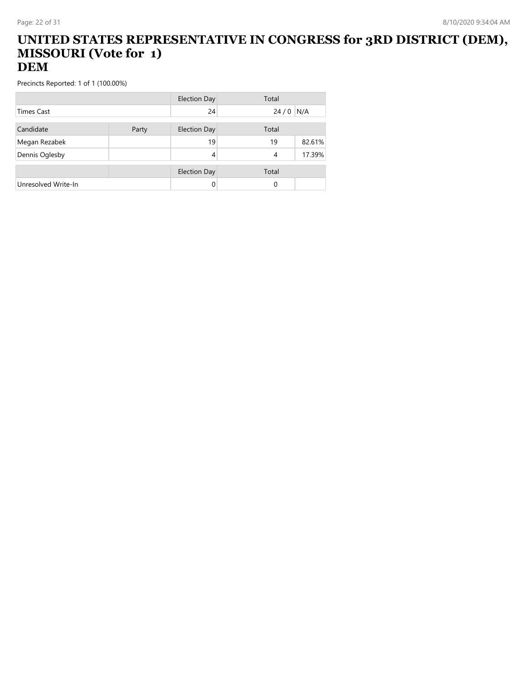#### **UNITED STATES REPRESENTATIVE IN CONGRESS for 3RD DISTRICT (DEM), MISSOURI (Vote for 1) DEM**

|                     |       | Election Day        | Total    |        |
|---------------------|-------|---------------------|----------|--------|
| <b>Times Cast</b>   |       | 24                  | 24/0     | N/A    |
| Candidate           | Party | <b>Election Day</b> | Total    |        |
| Megan Rezabek       |       | 19                  | 19       | 82.61% |
| Dennis Oglesby      |       | 4                   | 4        | 17.39% |
|                     |       | <b>Election Day</b> | Total    |        |
| Unresolved Write-In |       | 0                   | $\Omega$ |        |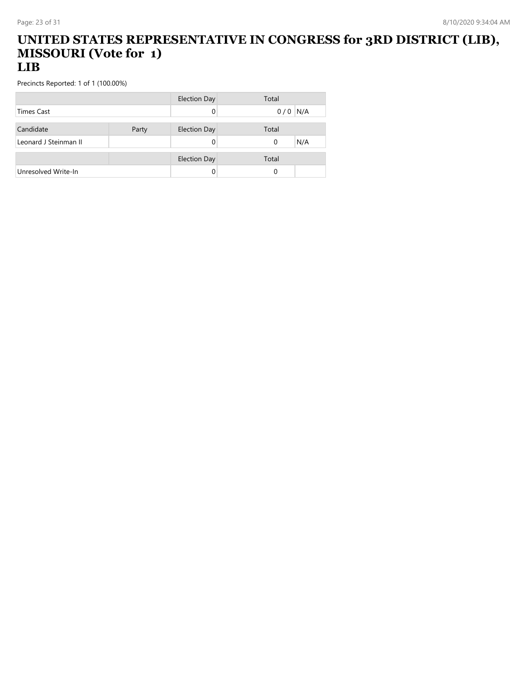#### **UNITED STATES REPRESENTATIVE IN CONGRESS for 3RD DISTRICT (LIB), MISSOURI (Vote for 1) LIB**

|                       |       | <b>Election Day</b> | Total           |
|-----------------------|-------|---------------------|-----------------|
| <b>Times Cast</b>     |       |                     | N/A<br>0/0      |
|                       |       |                     |                 |
| Candidate             | Party | <b>Election Day</b> | Total           |
| Leonard J Steinman II |       |                     | N/A<br>$\Omega$ |
|                       |       |                     |                 |
|                       |       | <b>Election Day</b> | Total           |
| Unresolved Write-In   |       |                     |                 |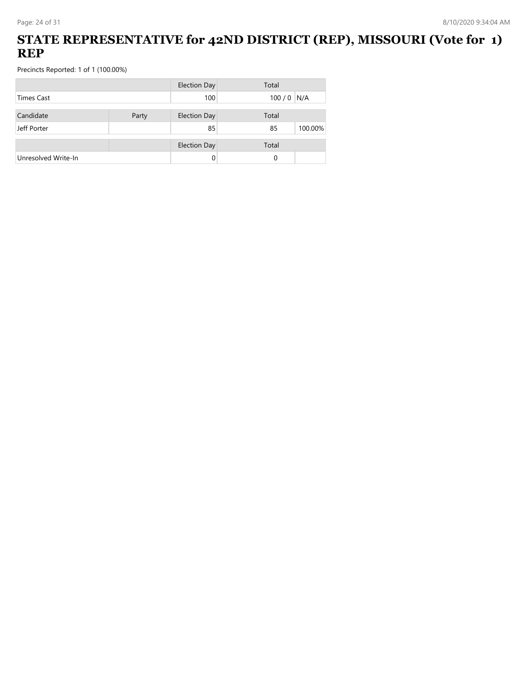## **STATE REPRESENTATIVE for 42ND DISTRICT (REP), MISSOURI (Vote for 1) REP**

|                     |       | <b>Election Day</b> | Total         |
|---------------------|-------|---------------------|---------------|
| <b>Times Cast</b>   |       | 100                 | $100/0$ N/A   |
| Candidate           | Party | <b>Election Day</b> | Total         |
| Jeff Porter         |       | 85                  | 100.00%<br>85 |
|                     |       | <b>Election Day</b> | Total         |
| Unresolved Write-In |       |                     | 0             |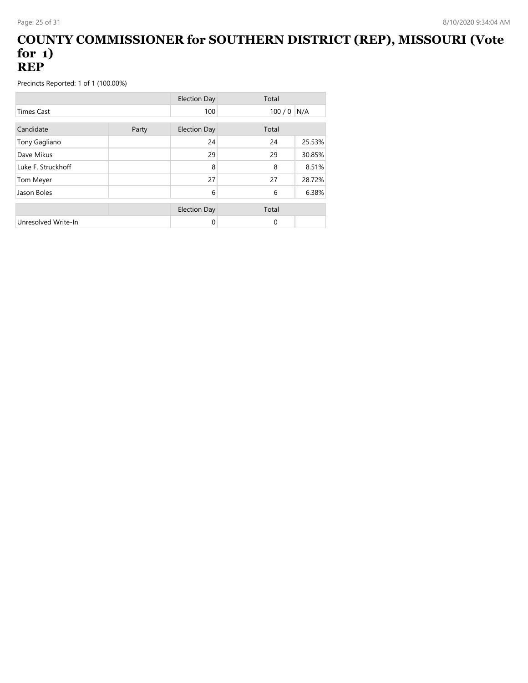#### **COUNTY COMMISSIONER for SOUTHERN DISTRICT (REP), MISSOURI (Vote for 1) REP**

|                     |       | <b>Election Day</b> | Total    |        |
|---------------------|-------|---------------------|----------|--------|
| <b>Times Cast</b>   |       | 100                 | 100/0    | N/A    |
| Candidate           | Party | <b>Election Day</b> | Total    |        |
| Tony Gagliano       |       | 24                  | 24       | 25.53% |
| Dave Mikus          |       | 29                  | 29       | 30.85% |
| Luke F. Struckhoff  |       | 8                   | 8        | 8.51%  |
| Tom Meyer           |       | 27                  | 27       | 28.72% |
| Jason Boles         |       | 6                   | 6        | 6.38%  |
|                     |       | <b>Election Day</b> | Total    |        |
| Unresolved Write-In |       | 0                   | $\Omega$ |        |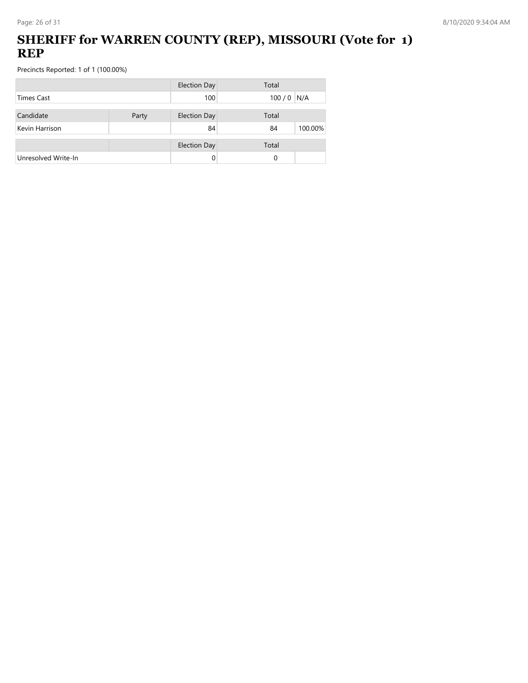## **SHERIFF for WARREN COUNTY (REP), MISSOURI (Vote for 1) REP**

|                     |       | <b>Election Day</b> | Total         |
|---------------------|-------|---------------------|---------------|
| Times Cast          |       | 100                 | $100/0$ N/A   |
| Candidate           | Party | <b>Election Day</b> | Total         |
| Kevin Harrison      |       | 84                  | 100.00%<br>84 |
|                     |       | <b>Election Day</b> | Total         |
| Unresolved Write-In |       | 0                   | 0             |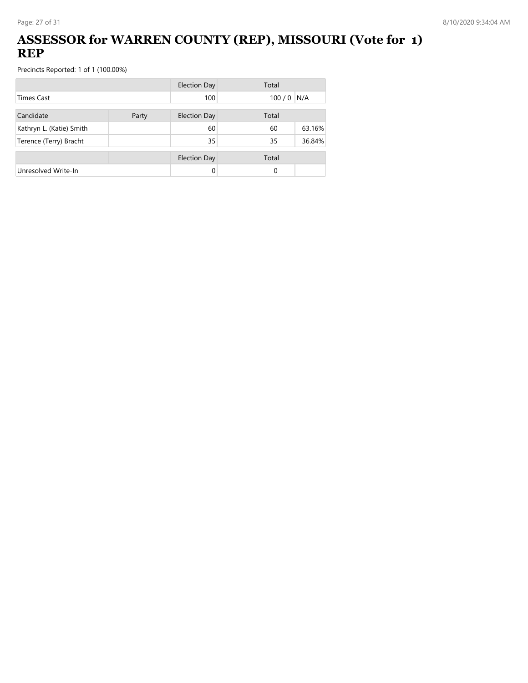## **ASSESSOR for WARREN COUNTY (REP), MISSOURI (Vote for 1) REP**

|                          |       | <b>Election Day</b> | Total |        |
|--------------------------|-------|---------------------|-------|--------|
| <b>Times Cast</b>        |       | 100                 | 100/0 | N/A    |
| Candidate                | Party | <b>Election Day</b> | Total |        |
| Kathryn L. (Katie) Smith |       | 60                  | 60    | 63.16% |
| Terence (Terry) Bracht   |       | 35                  | 35    | 36.84% |
|                          |       | <b>Election Day</b> | Total |        |
| Unresolved Write-In      |       |                     | 0     |        |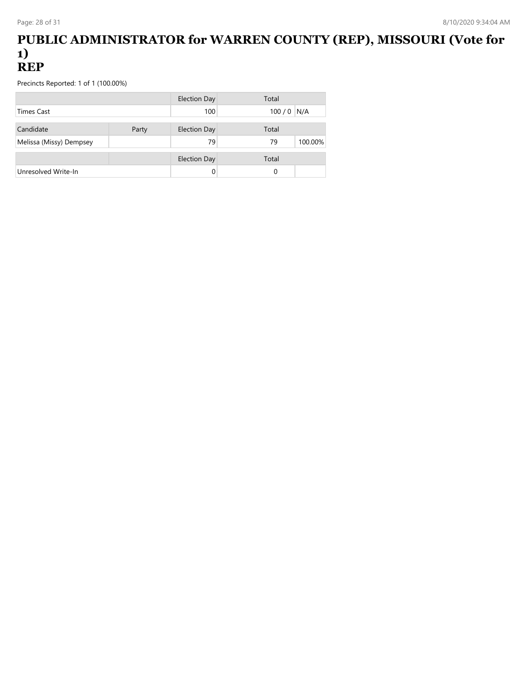#### **PUBLIC ADMINISTRATOR for WARREN COUNTY (REP), MISSOURI (Vote for 1) REP**

|                         |       | Election Day        | Total       |         |
|-------------------------|-------|---------------------|-------------|---------|
| <b>Times Cast</b>       |       | 100                 | $100/0$ N/A |         |
|                         |       |                     |             |         |
| Candidate               | Party | <b>Election Day</b> | Total       |         |
| Melissa (Missy) Dempsey |       | 79                  | 79          | 100.00% |
|                         |       |                     |             |         |
|                         |       | <b>Election Day</b> | Total       |         |
| Unresolved Write-In     |       |                     | 0           |         |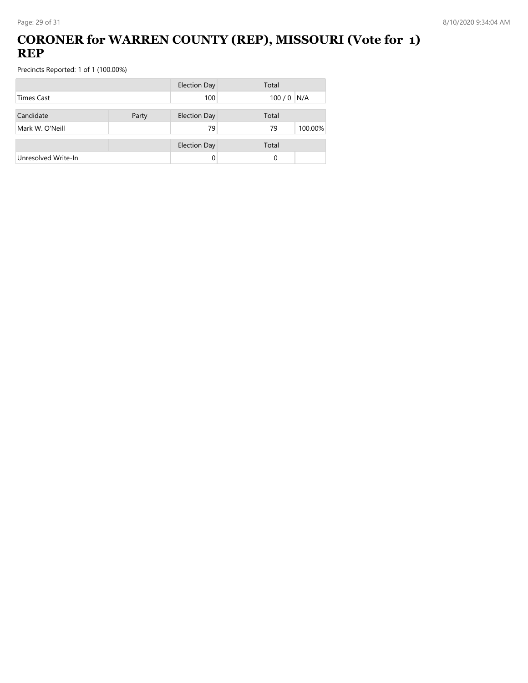## **CORONER for WARREN COUNTY (REP), MISSOURI (Vote for 1) REP**

|                     |       | <b>Election Day</b> | Total         |
|---------------------|-------|---------------------|---------------|
| Times Cast          |       | 100                 | $100/0$ N/A   |
| Candidate           | Party | <b>Election Day</b> | Total         |
| Mark W. O'Neill     |       | 79                  | 100.00%<br>79 |
|                     |       | <b>Election Day</b> | Total         |
| Unresolved Write-In |       | 0                   | 0             |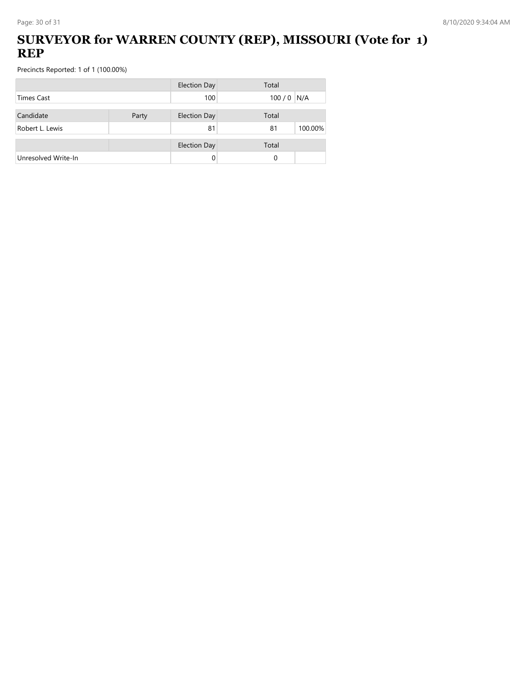## **SURVEYOR for WARREN COUNTY (REP), MISSOURI (Vote for 1) REP**

|                     |       | <b>Election Day</b> | Total         |
|---------------------|-------|---------------------|---------------|
| <b>Times Cast</b>   |       | 100                 | $100/0$ N/A   |
| Candidate           | Party | <b>Election Day</b> | Total         |
| Robert L. Lewis     |       | 81                  | 100.00%<br>81 |
|                     |       | <b>Election Day</b> | Total         |
| Unresolved Write-In |       |                     | 0             |